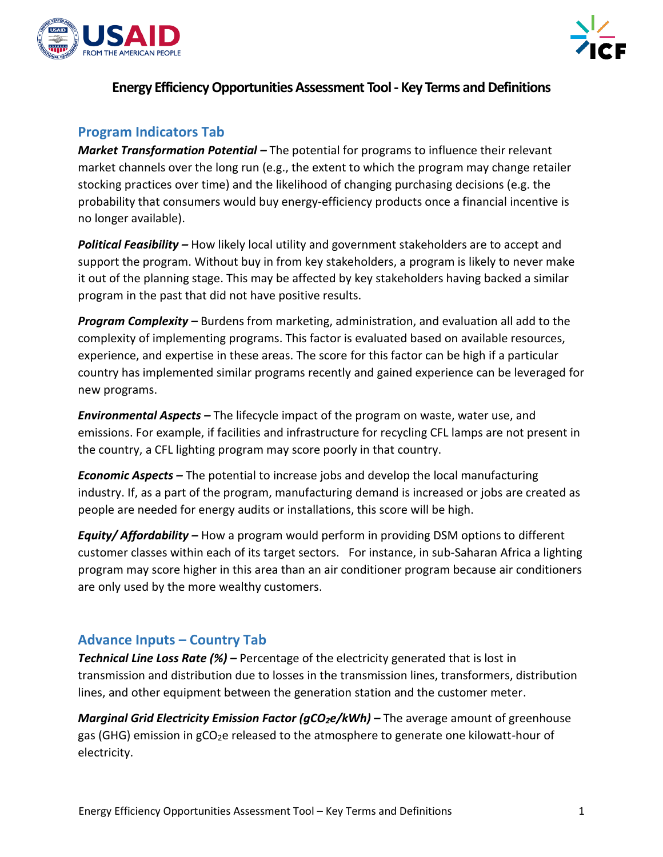



## **Energy Efficiency Opportunities Assessment Tool - Key Terms and Definitions**

## **Program Indicators Tab**

*Market Transformation Potential –* The potential for programs to influence their relevant market channels over the long run (e.g., the extent to which the program may change retailer stocking practices over time) and the likelihood of changing purchasing decisions (e.g. the probability that consumers would buy energy-efficiency products once a financial incentive is no longer available).

*Political Feasibility –* How likely local utility and government stakeholders are to accept and support the program. Without buy in from key stakeholders, a program is likely to never make it out of the planning stage. This may be affected by key stakeholders having backed a similar program in the past that did not have positive results.

*Program Complexity –* Burdens from marketing, administration, and evaluation all add to the complexity of implementing programs. This factor is evaluated based on available resources, experience, and expertise in these areas. The score for this factor can be high if a particular country has implemented similar programs recently and gained experience can be leveraged for new programs.

*Environmental Aspects –* The lifecycle impact of the program on waste, water use, and emissions. For example, if facilities and infrastructure for recycling CFL lamps are not present in the country, a CFL lighting program may score poorly in that country.

*Economic Aspects –* The potential to increase jobs and develop the local manufacturing industry. If, as a part of the program, manufacturing demand is increased or jobs are created as people are needed for energy audits or installations, this score will be high.

*Equity/ Affordability –* How a program would perform in providing DSM options to different customer classes within each of its target sectors. For instance, in sub-Saharan Africa a lighting program may score higher in this area than an air conditioner program because air conditioners are only used by the more wealthy customers.

#### **Advance Inputs – Country Tab**

*Technical Line Loss Rate (%) –* Percentage of the electricity generated that is lost in transmission and distribution due to losses in the transmission lines, transformers, distribution lines, and other equipment between the generation station and the customer meter.

*Marginal Grid Electricity Emission Factor (gCO2e/kWh) –* The average amount of greenhouse gas (GHG) emission in  $gCO<sub>2</sub>e$  released to the atmosphere to generate one kilowatt-hour of electricity.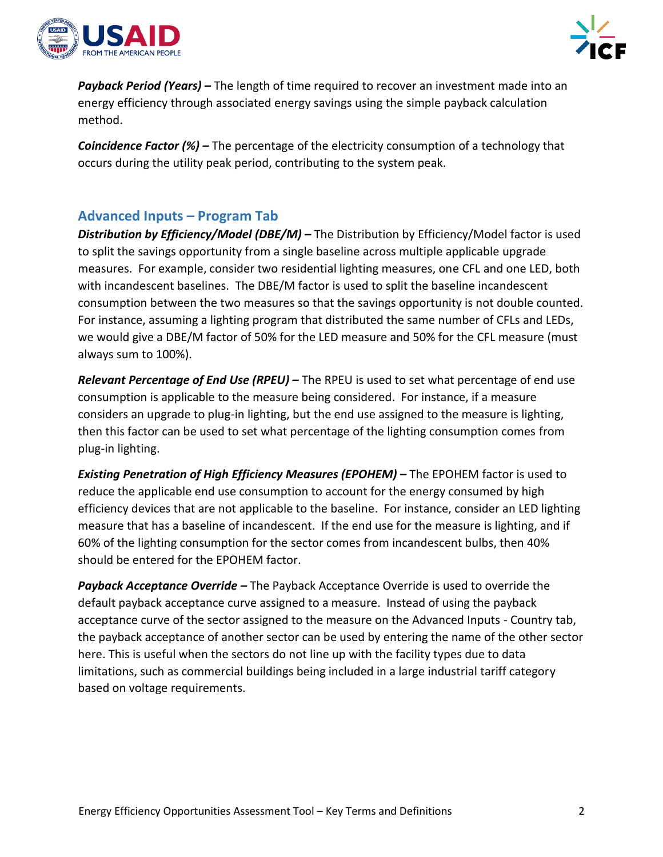



*Payback Period (Years) –* The length of time required to recover an investment made into an energy efficiency through associated energy savings using the simple payback calculation method.

*Coincidence Factor (%) –* The percentage of the electricity consumption of a technology that occurs during the utility peak period, contributing to the system peak.

## **Advanced Inputs – Program Tab**

*Distribution by Efficiency/Model (DBE/M) –* The Distribution by Efficiency/Model factor is used to split the savings opportunity from a single baseline across multiple applicable upgrade measures. For example, consider two residential lighting measures, one CFL and one LED, both with incandescent baselines. The DBE/M factor is used to split the baseline incandescent consumption between the two measures so that the savings opportunity is not double counted. For instance, assuming a lighting program that distributed the same number of CFLs and LEDs, we would give a DBE/M factor of 50% for the LED measure and 50% for the CFL measure (must always sum to 100%).

*Relevant Percentage of End Use (RPEU) –* The RPEU is used to set what percentage of end use consumption is applicable to the measure being considered. For instance, if a measure considers an upgrade to plug-in lighting, but the end use assigned to the measure is lighting, then this factor can be used to set what percentage of the lighting consumption comes from plug-in lighting.

**Existing Penetration of High Efficiency Measures (EPOHEM) – The EPOHEM factor is used to** reduce the applicable end use consumption to account for the energy consumed by high efficiency devices that are not applicable to the baseline. For instance, consider an LED lighting measure that has a baseline of incandescent. If the end use for the measure is lighting, and if 60% of the lighting consumption for the sector comes from incandescent bulbs, then 40% should be entered for the EPOHEM factor.

*Payback Acceptance Override –* The Payback Acceptance Override is used to override the default payback acceptance curve assigned to a measure. Instead of using the payback acceptance curve of the sector assigned to the measure on the Advanced Inputs - Country tab, the payback acceptance of another sector can be used by entering the name of the other sector here. This is useful when the sectors do not line up with the facility types due to data limitations, such as commercial buildings being included in a large industrial tariff category based on voltage requirements.